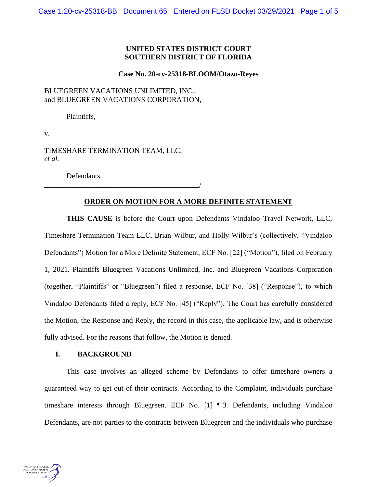# **UNITED STATES DISTRICT COURT SOUTHERN DISTRICT OF FLORIDA**

#### **Case No. 20-cv-25318-BLOOM/Otazo-Reyes**

# BLUEGREEN VACATIONS UNLIMITED, INC., and BLUEGREEN VACATIONS CORPORATION,

Plaintiffs,

v.

TIMESHARE TERMINATION TEAM, LLC, *et al.*

\_\_\_\_\_\_\_\_\_\_\_\_\_\_\_\_\_\_\_\_\_\_\_\_\_\_\_\_\_\_\_\_\_\_\_\_\_\_\_\_\_\_/

Defendants.

## **ORDER ON MOTION FOR A MORE DEFINITE STATEMENT**

**THIS CAUSE** is before the Court upon Defendants Vindaloo Travel Network, LLC, Timeshare Termination Team LLC, Brian Wilbur, and Holly Wilbur's (collectively, "Vindaloo Defendants") Motion for a More Definite Statement, ECF No. [22] ("Motion"), filed on February 1, 2021. Plaintiffs Bluegreen Vacations Unlimited, Inc. and Bluegreen Vacations Corporation (together, "Plaintiffs" or "Bluegreen") filed a response, ECF No. [38] ("Response"), to which Vindaloo Defendants filed a reply, ECF No. [45] ("Reply"). The Court has carefully considered the Motion, the Response and Reply, the record in this case, the applicable law, and is otherwise fully advised. For the reasons that follow, the Motion is denied.

## **I. BACKGROUND**

This case involves an alleged scheme by Defendants to offer timeshare owners a guaranteed way to get out of their contracts. According to the Complaint, individuals purchase timeshare interests through Bluegreen. ECF No. [1] ¶ 3. Defendants, including Vindaloo Defendants, are not parties to the contracts between Bluegreen and the individuals who purchase

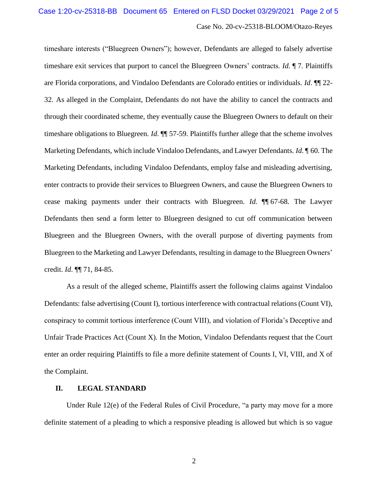timeshare interests ("Bluegreen Owners"); however, Defendants are alleged to falsely advertise timeshare exit services that purport to cancel the Bluegreen Owners' contracts. *Id*. ¶ 7. Plaintiffs are Florida corporations, and Vindaloo Defendants are Colorado entities or individuals. *Id*. ¶¶ 22- 32. As alleged in the Complaint, Defendants do not have the ability to cancel the contracts and through their coordinated scheme, they eventually cause the Bluegreen Owners to default on their timeshare obligations to Bluegreen. *Id*. ¶¶ 57-59. Plaintiffs further allege that the scheme involves Marketing Defendants, which include Vindaloo Defendants, and Lawyer Defendants. *Id*. ¶ 60. The Marketing Defendants, including Vindaloo Defendants, employ false and misleading advertising, enter contracts to provide their services to Bluegreen Owners, and cause the Bluegreen Owners to cease making payments under their contracts with Bluegreen. *Id*. ¶¶ 67-68. The Lawyer Defendants then send a form letter to Bluegreen designed to cut off communication between Bluegreen and the Bluegreen Owners, with the overall purpose of diverting payments from Bluegreen to the Marketing and Lawyer Defendants, resulting in damage to the Bluegreen Owners' credit. *Id*. ¶¶ 71, 84-85.

As a result of the alleged scheme, Plaintiffs assert the following claims against Vindaloo Defendants: false advertising (Count I), tortious interference with contractual relations (Count VI), conspiracy to commit tortious interference (Count VIII), and violation of Florida's Deceptive and Unfair Trade Practices Act (Count X). In the Motion, Vindaloo Defendants request that the Court enter an order requiring Plaintiffs to file a more definite statement of Counts I, VI, VIII, and X of the Complaint.

#### **II. LEGAL STANDARD**

Under Rule 12(e) of the Federal Rules of Civil Procedure, "a party may move for a more definite statement of a pleading to which a responsive pleading is allowed but which is so vague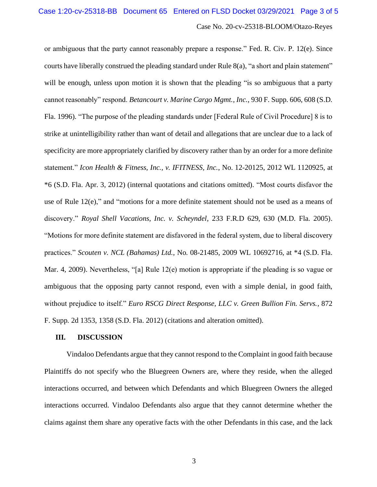or ambiguous that the party cannot reasonably prepare a response." Fed. R. Civ. P. 12(e). Since courts have liberally construed the pleading standard under Rule 8(a), "a short and plain statement" will be enough, unless upon motion it is shown that the pleading "is so ambiguous that a party cannot reasonably" respond. *Betancourt v. Marine Cargo Mgmt., Inc.*, 930 F. Supp. 606, 608 (S.D. Fla. 1996). "The purpose of the pleading standards under [Federal Rule of Civil Procedure] 8 is to strike at unintelligibility rather than want of detail and allegations that are unclear due to a lack of specificity are more appropriately clarified by discovery rather than by an order for a more definite statement." *Icon Health & Fitness, Inc., v. IFITNESS, Inc.*, No. 12-20125, 2012 WL 1120925, at \*6 (S.D. Fla. Apr. 3, 2012) (internal quotations and citations omitted). "Most courts disfavor the use of Rule 12(e)," and "motions for a more definite statement should not be used as a means of discovery." *Royal Shell Vacations, Inc. v. Scheyndel*, 233 F.R.D 629, 630 (M.D. Fla. 2005). "Motions for more definite statement are disfavored in the federal system, due to liberal discovery practices." *Scouten v. NCL (Bahamas) Ltd.*, No. 08-21485, 2009 WL 10692716, at \*4 (S.D. Fla. Mar. 4, 2009). Nevertheless, "[a] Rule 12(e) motion is appropriate if the pleading is so vague or ambiguous that the opposing party cannot respond, even with a simple denial, in good faith, without prejudice to itself." *Euro RSCG Direct Response, LLC v. Green Bullion Fin. Servs.*, 872 F. Supp. 2d 1353, 1358 (S.D. Fla. 2012) (citations and alteration omitted).

#### **III. DISCUSSION**

Vindaloo Defendants argue that they cannot respond to the Complaint in good faith because Plaintiffs do not specify who the Bluegreen Owners are, where they reside, when the alleged interactions occurred, and between which Defendants and which Bluegreen Owners the alleged interactions occurred. Vindaloo Defendants also argue that they cannot determine whether the claims against them share any operative facts with the other Defendants in this case, and the lack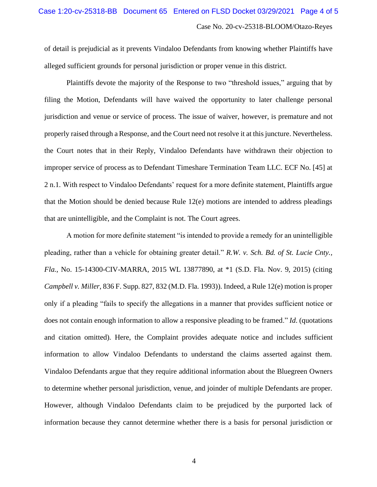of detail is prejudicial as it prevents Vindaloo Defendants from knowing whether Plaintiffs have alleged sufficient grounds for personal jurisdiction or proper venue in this district.

Plaintiffs devote the majority of the Response to two "threshold issues," arguing that by filing the Motion, Defendants will have waived the opportunity to later challenge personal jurisdiction and venue or service of process. The issue of waiver, however, is premature and not properly raised through a Response, and the Court need not resolve it at this juncture. Nevertheless. the Court notes that in their Reply, Vindaloo Defendants have withdrawn their objection to improper service of process as to Defendant Timeshare Termination Team LLC. ECF No. [45] at 2 n.1. With respect to Vindaloo Defendants' request for a more definite statement, Plaintiffs argue that the Motion should be denied because Rule 12(e) motions are intended to address pleadings that are unintelligible, and the Complaint is not. The Court agrees.

A motion for more definite statement "is intended to provide a remedy for an unintelligible pleading, rather than a vehicle for obtaining greater detail." *R.W. v. Sch. Bd. of St. Lucie Cnty., Fla.*, No. 15-14300-CIV-MARRA, 2015 WL 13877890, at \*1 (S.D. Fla. Nov. 9, 2015) (citing *Campbell v. Miller*, 836 F. Supp. 827, 832 (M.D. Fla. 1993)). Indeed, a Rule 12(e) motion is proper only if a pleading "fails to specify the allegations in a manner that provides sufficient notice or does not contain enough information to allow a responsive pleading to be framed." *Id*. (quotations and citation omitted). Here, the Complaint provides adequate notice and includes sufficient information to allow Vindaloo Defendants to understand the claims asserted against them. Vindaloo Defendants argue that they require additional information about the Bluegreen Owners to determine whether personal jurisdiction, venue, and joinder of multiple Defendants are proper. However, although Vindaloo Defendants claim to be prejudiced by the purported lack of information because they cannot determine whether there is a basis for personal jurisdiction or